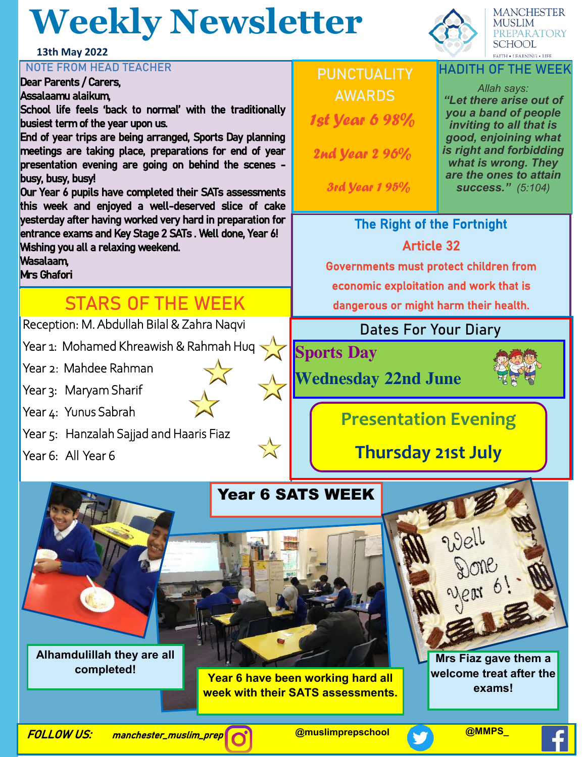# **Weekly Newsletter**

#### **13th May 2022**

#### **NOTE FROM HEAD TEACHER**

Dear Parents / Carers, Assalaamu alaikum,

School life feels 'back to normal' with the traditionally busiest term of the year upon us.

End of year trips are being arranged, Sports Day planning meetings are taking place, preparations for end of year presentation evening are going on behind the scenes busy, busy, busy!

Our Year 6 pupils have completed their SATs assessments this week and enjoyed a well-deserved slice of cake yesterday after having worked very hard in preparation for entrance exams and Key Stage 2 SATs . Well done, Year 6! Wishing you all a relaxing weekend.

Wasalaam,

Mrs Ghafori

## **STARS OF THE WEEK**

Reception: M. Abdullah Bilal & Zahra Naqvi

Year 1: Mohamed Khreawish & Rahmah Huq

Year 2: Mahdee Rahman

Year 3: Maryam Sharif

Year 4: Yunus Sabrah

Year 5: Hanzalah Sajjad and Haaris Fiaz

Year 6: All Year 6

## **PUNCTUALITY AWARDS** 1st Year 6 98%

2nd Year 2 96%

3rd Year 1 95%

### **HADITH OF THE WEEK**

**MANCHESTER** MUSLIM

PREPARATORY **SCHOOL FAITH . LEARNING . LIFE** 

*Allah says: "Let there arise out of you a band of people inviting to all that is good, enjoining what is right and forbidding what is wrong. They are the ones to attain success." (5:104)* 

## The Right of the Fortnight Article 32

Governments must protect children from economic exploitation and work that is

dangerous or might harm their health.

### **Dates For Your Diary**

**Sports Day** 

**Wednesday 22nd June** 



## **Presentation Evening**

**Thursday 21st July**